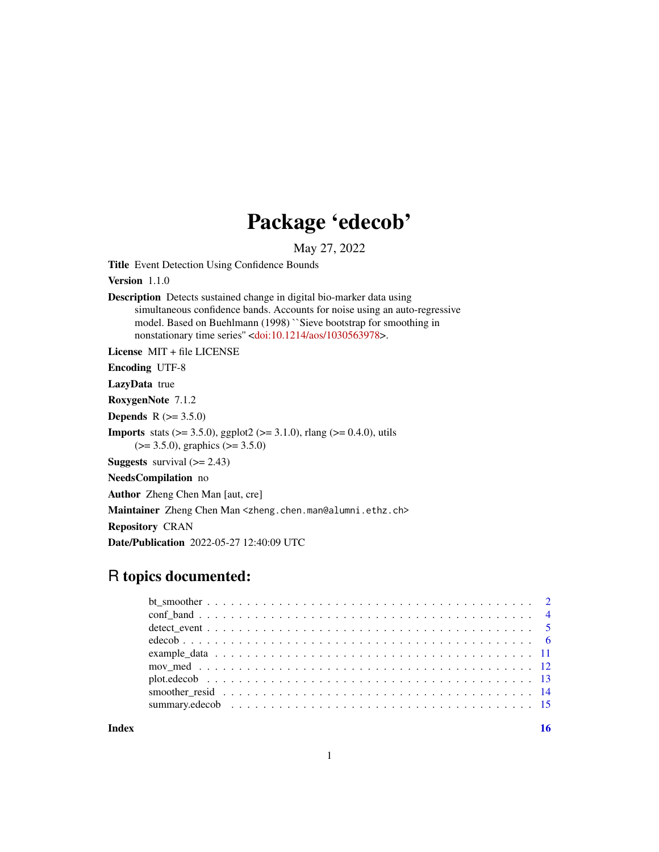## Package 'edecob'

May 27, 2022

Title Event Detection Using Confidence Bounds

Version 1.1.0

Description Detects sustained change in digital bio-marker data using simultaneous confidence bands. Accounts for noise using an auto-regressive model. Based on Buehlmann (1998) ``Sieve bootstrap for smoothing in nonstationary time series" [<doi:10.1214/aos/1030563978>](https://doi.org/10.1214/aos/1030563978).

License MIT + file LICENSE

Encoding UTF-8

LazyData true

RoxygenNote 7.1.2

**Depends** R  $(>= 3.5.0)$ 

**Imports** stats ( $> = 3.5.0$ ), ggplot2 ( $> = 3.1.0$ ), rlang ( $> = 0.4.0$ ), utils (>= 3.5.0), graphics (>= 3.5.0)

**Suggests** survival  $(>= 2.43)$ 

NeedsCompilation no

Author Zheng Chen Man [aut, cre]

Maintainer Zheng Chen Man <zheng.chen.man@alumni.ethz.ch>

Repository CRAN

Date/Publication 2022-05-27 12:40:09 UTC

### R topics documented:

**Index** and the contract of the contract of the contract of the contract of the contract of the contract of the contract of the contract of the contract of the contract of the contract of the contract of the contract of th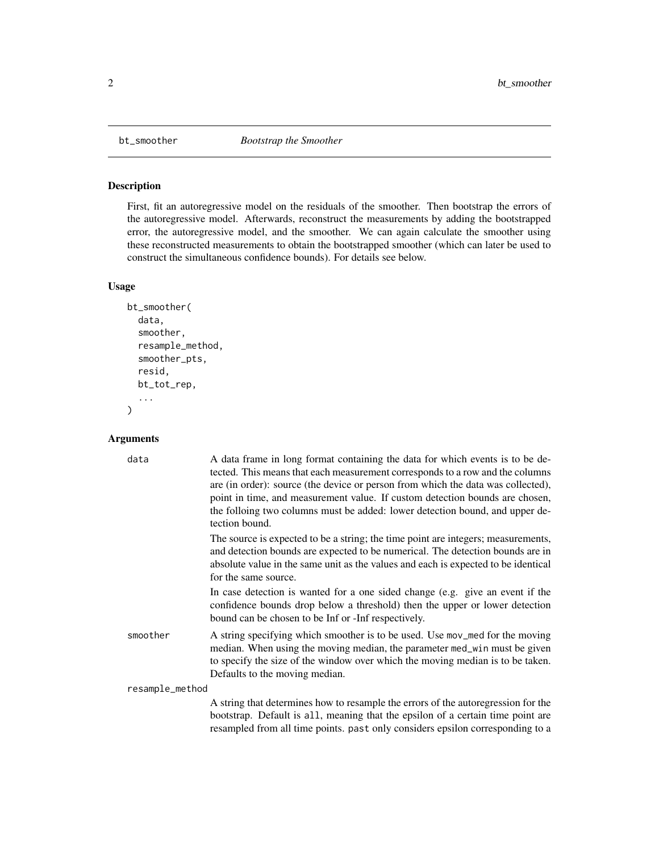<span id="page-1-0"></span>

#### Description

First, fit an autoregressive model on the residuals of the smoother. Then bootstrap the errors of the autoregressive model. Afterwards, reconstruct the measurements by adding the bootstrapped error, the autoregressive model, and the smoother. We can again calculate the smoother using these reconstructed measurements to obtain the bootstrapped smoother (which can later be used to construct the simultaneous confidence bounds). For details see below.

#### Usage

```
bt_smoother(
  data,
  smoother,
  resample_method,
  smoother_pts,
  resid,
  bt_tot_rep,
  ...
)
```

| data            | A data frame in long format containing the data for which events is to be de-<br>tected. This means that each measurement corresponds to a row and the columns<br>are (in order): source (the device or person from which the data was collected),<br>point in time, and measurement value. If custom detection bounds are chosen,<br>the folloing two columns must be added: lower detection bound, and upper de-<br>tection bound. |
|-----------------|--------------------------------------------------------------------------------------------------------------------------------------------------------------------------------------------------------------------------------------------------------------------------------------------------------------------------------------------------------------------------------------------------------------------------------------|
|                 | The source is expected to be a string; the time point are integers; measurements,<br>and detection bounds are expected to be numerical. The detection bounds are in<br>absolute value in the same unit as the values and each is expected to be identical<br>for the same source.                                                                                                                                                    |
|                 | In case detection is wanted for a one sided change (e.g. give an event if the<br>confidence bounds drop below a threshold) then the upper or lower detection<br>bound can be chosen to be Inf or -Inf respectively.                                                                                                                                                                                                                  |
| smoother        | A string specifying which smoother is to be used. Use mov_med for the moving<br>median. When using the moving median, the parameter med_win must be given<br>to specify the size of the window over which the moving median is to be taken.<br>Defaults to the moving median.                                                                                                                                                        |
| resample_method |                                                                                                                                                                                                                                                                                                                                                                                                                                      |
|                 | A string that determines how to resample the errors of the autoregression for the<br>bootstrap. Default is all, meaning that the epsilon of a certain time point are<br>resampled from all time points. past only considers epsilon corresponding to a                                                                                                                                                                               |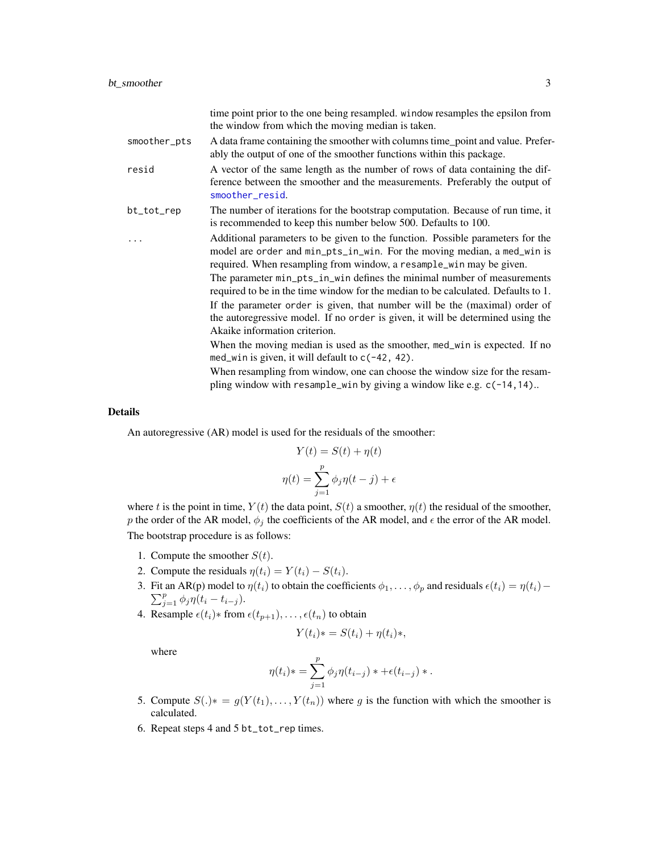<span id="page-2-0"></span>

|              | time point prior to the one being resampled. window resamples the epsilon from<br>the window from which the moving median is taken.                                                                                              |
|--------------|----------------------------------------------------------------------------------------------------------------------------------------------------------------------------------------------------------------------------------|
| smoother_pts | A data frame containing the smoother with columns time_point and value. Prefer-<br>ably the output of one of the smoother functions within this package.                                                                         |
| resid        | A vector of the same length as the number of rows of data containing the dif-<br>ference between the smoother and the measurements. Preferably the output of<br>smoother_resid.                                                  |
| bt_tot_rep   | The number of iterations for the bootstrap computation. Because of run time, it<br>is recommended to keep this number below 500. Defaults to 100.                                                                                |
|              | Additional parameters to be given to the function. Possible parameters for the<br>model are order and min_pts_in_win. For the moving median, a med_win is<br>required. When resampling from window, a resample_win may be given. |
|              | The parameter min_pts_in_win defines the minimal number of measurements<br>required to be in the time window for the median to be calculated. Defaults to 1.                                                                     |
|              | If the parameter order is given, that number will be the (maximal) order of<br>the autoregressive model. If no order is given, it will be determined using the<br>Akaike information criterion.                                  |
|              | When the moving median is used as the smoother, med_win is expected. If no<br>med_win is given, it will default to c(-42, 42).                                                                                                   |
|              | When resampling from window, one can choose the window size for the resam-<br>pling window with resample_win by giving a window like e.g. c(-14, 14)                                                                             |

#### Details

An autoregressive (AR) model is used for the residuals of the smoother:

$$
Y(t) = S(t) + \eta(t)
$$

$$
\eta(t) = \sum_{j=1}^{p} \phi_j \eta(t - j) + \epsilon
$$

where t is the point in time,  $Y(t)$  the data point,  $S(t)$  a smoother,  $\eta(t)$  the residual of the smoother, p the order of the AR model,  $\phi_j$  the coefficients of the AR model, and  $\epsilon$  the error of the AR model. The bootstrap procedure is as follows:

- 1. Compute the smoother  $S(t)$ .
- 2. Compute the residuals  $\eta(t_i) = Y(t_i) S(t_i)$ .
- 3. Fit an AR(p) model to  $\eta(t_i)$  to obtain the coefficients  $\phi_1, \dots, \phi_p$  and residuals  $\epsilon(t_i) = \eta(t_i) \eta(t_i)$  $\sum_{j=1}^{p} \phi_j \eta(t_i - t_{i-j}).$
- 4. Resample  $\epsilon(t_i)$ ∗ from  $\epsilon(t_{p+1}), \ldots, \epsilon(t_n)$  to obtain

$$
Y(t_i)*=S(t_i)+\eta(t_i)*
$$

where

$$
\eta(t_i) * = \sum_{j=1}^p \phi_j \eta(t_{i-j}) * + \epsilon(t_{i-j}) *.
$$

- 5. Compute  $S(.)^* = g(Y(t_1),..., Y(t_n))$  where g is the function with which the smoother is calculated.
- 6. Repeat steps 4 and 5 bt\_tot\_rep times.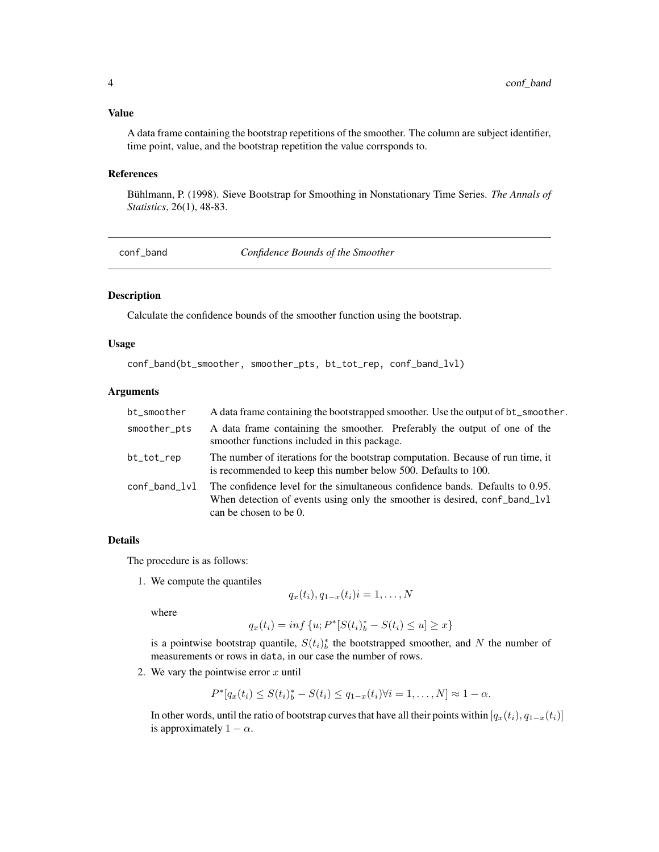#### <span id="page-3-0"></span>Value

A data frame containing the bootstrap repetitions of the smoother. The column are subject identifier, time point, value, and the bootstrap repetition the value corrsponds to.

#### References

Bühlmann, P. (1998). Sieve Bootstrap for Smoothing in Nonstationary Time Series. *The Annals of Statistics*, 26(1), 48-83.

<span id="page-3-1"></span>

conf\_band *Confidence Bounds of the Smoother*

#### Description

Calculate the confidence bounds of the smoother function using the bootstrap.

#### Usage

```
conf_band(bt_smoother, smoother_pts, bt_tot_rep, conf_band_lvl)
```
#### Arguments

| bt_smoother   | A data frame containing the bootstrapped smoother. Use the output of bt_smoother.                                                                                                     |
|---------------|---------------------------------------------------------------------------------------------------------------------------------------------------------------------------------------|
| smoother_pts  | A data frame containing the smoother. Preferably the output of one of the<br>smoother functions included in this package.                                                             |
| bt_tot_rep    | The number of iterations for the bootstrap computation. Because of run time, it<br>is recommended to keep this number below 500. Defaults to 100.                                     |
| conf_band_lvl | The confidence level for the simultaneous confidence bands. Defaults to 0.95.<br>When detection of events using only the smoother is desired, conf band 1v1<br>can be chosen to be 0. |

#### Details

The procedure is as follows:

1. We compute the quantiles

$$
q_x(t_i), q_{1-x}(t_i) = 1, \ldots, N
$$

where

$$
q_x(t_i) = \inf \{ u; P^*[S(t_i)]_b^* - S(t_i) \le u \} \ge x \}
$$

is a pointwise bootstrap quantile,  $S(t_i)$ <sup>\*</sup> the bootstrapped smoother, and N the number of measurements or rows in data, in our case the number of rows.

2. We vary the pointwise error  $x$  until

$$
P^*[q_x(t_i) \leq S(t_i)_b^* - S(t_i) \leq q_{1-x}(t_i) \forall i = 1, ..., N] \approx 1 - \alpha.
$$

In other words, until the ratio of bootstrap curves that have all their points within  $[q_x(t_i), q_{1-x}(t_i)]$ is approximately  $1 - \alpha$ .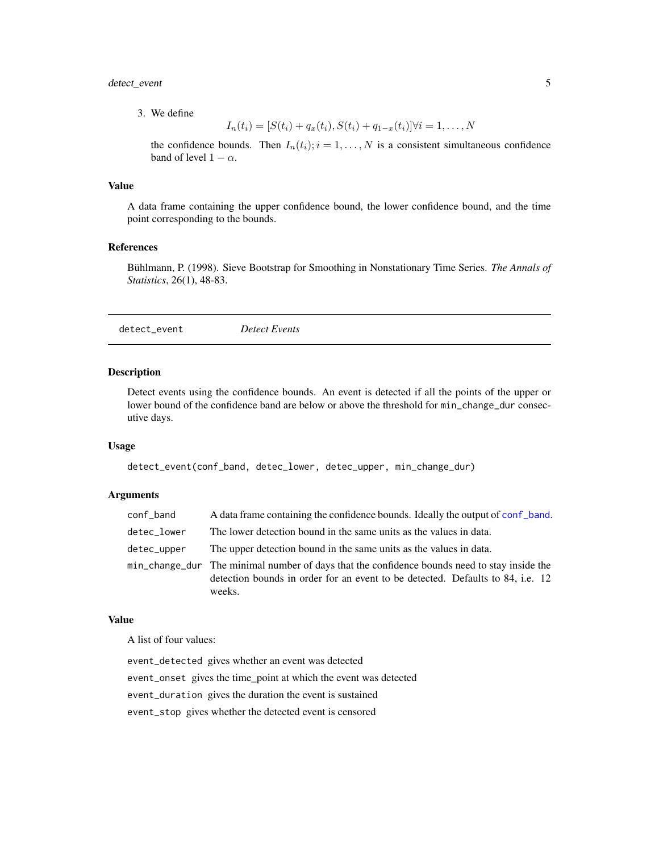#### <span id="page-4-0"></span>detect\_event 5

3. We define

$$
I_n(t_i) = [S(t_i) + q_x(t_i), S(t_i) + q_{1-x}(t_i)] \forall i = 1, ..., N
$$

the confidence bounds. Then  $I_n(t_i)$ ;  $i = 1, ..., N$  is a consistent simultaneous confidence band of level  $1 - \alpha$ .

#### Value

A data frame containing the upper confidence bound, the lower confidence bound, and the time point corresponding to the bounds.

#### References

Bühlmann, P. (1998). Sieve Bootstrap for Smoothing in Nonstationary Time Series. *The Annals of Statistics*, 26(1), 48-83.

detect\_event *Detect Events*

#### Description

Detect events using the confidence bounds. An event is detected if all the points of the upper or lower bound of the confidence band are below or above the threshold for  $min\_change\_dur$  consecutive days.

#### Usage

```
detect_event(conf_band, detec_lower, detec_upper, min_change_dur)
```
#### Arguments

| conf_band   | A data frame containing the confidence bounds. Ideally the output of conf band.                                                                                                          |
|-------------|------------------------------------------------------------------------------------------------------------------------------------------------------------------------------------------|
| detec_lower | The lower detection bound in the same units as the values in data.                                                                                                                       |
| detec_upper | The upper detection bound in the same units as the values in data.                                                                                                                       |
|             | min_change_dur The minimal number of days that the confidence bounds need to stay inside the<br>detection bounds in order for an event to be detected. Defaults to 84, i.e. 12<br>weeks. |

#### Value

A list of four values:

event\_detected gives whether an event was detected event\_onset gives the time\_point at which the event was detected event\_duration gives the duration the event is sustained event\_stop gives whether the detected event is censored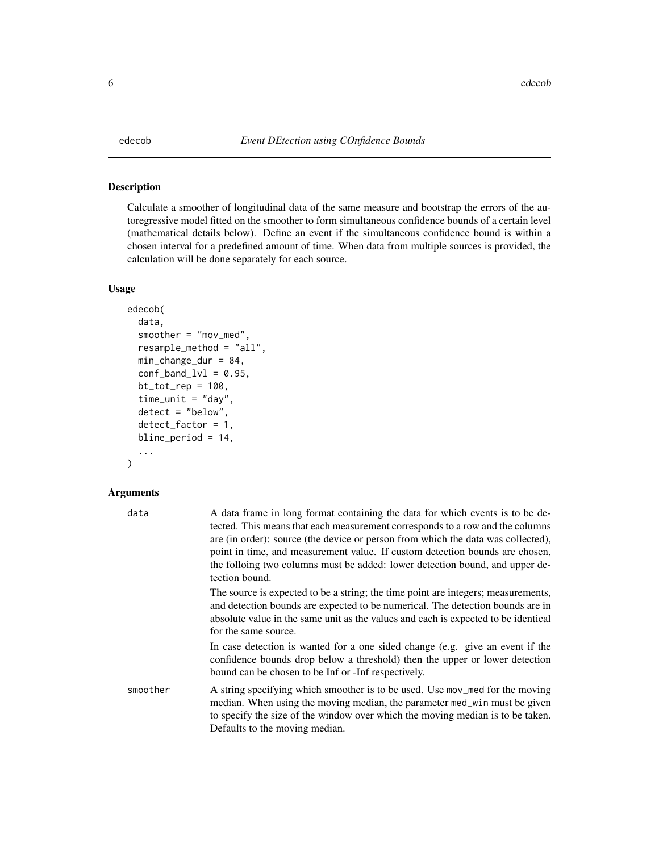#### <span id="page-5-0"></span>Description

Calculate a smoother of longitudinal data of the same measure and bootstrap the errors of the autoregressive model fitted on the smoother to form simultaneous confidence bounds of a certain level (mathematical details below). Define an event if the simultaneous confidence bound is within a chosen interval for a predefined amount of time. When data from multiple sources is provided, the calculation will be done separately for each source.

#### Usage

```
edecob(
  data,
  smoother = "mov_med",
  resample_method = "all",
  min_change_dur = 84,
  conf\_band\_lvl = 0.95,
  bt\_tot\_rep = 100,
  time_unit = "day",
  \text{detect} = \text{"below",}detect_factor = 1,
  bline_period = 14,
  ...
)
```

| data     | A data frame in long format containing the data for which events is to be de-<br>tected. This means that each measurement corresponds to a row and the columns<br>are (in order): source (the device or person from which the data was collected),<br>point in time, and measurement value. If custom detection bounds are chosen,<br>the folloing two columns must be added: lower detection bound, and upper de-<br>tection bound. |
|----------|--------------------------------------------------------------------------------------------------------------------------------------------------------------------------------------------------------------------------------------------------------------------------------------------------------------------------------------------------------------------------------------------------------------------------------------|
|          | The source is expected to be a string; the time point are integers; measurements,<br>and detection bounds are expected to be numerical. The detection bounds are in<br>absolute value in the same unit as the values and each is expected to be identical<br>for the same source.                                                                                                                                                    |
|          | In case detection is wanted for a one sided change (e.g. give an event if the<br>confidence bounds drop below a threshold) then the upper or lower detection<br>bound can be chosen to be Inf or -Inf respectively.                                                                                                                                                                                                                  |
| smoother | A string specifying which smoother is to be used. Use mov_med for the moving<br>median. When using the moving median, the parameter med_win must be given<br>to specify the size of the window over which the moving median is to be taken.<br>Defaults to the moving median.                                                                                                                                                        |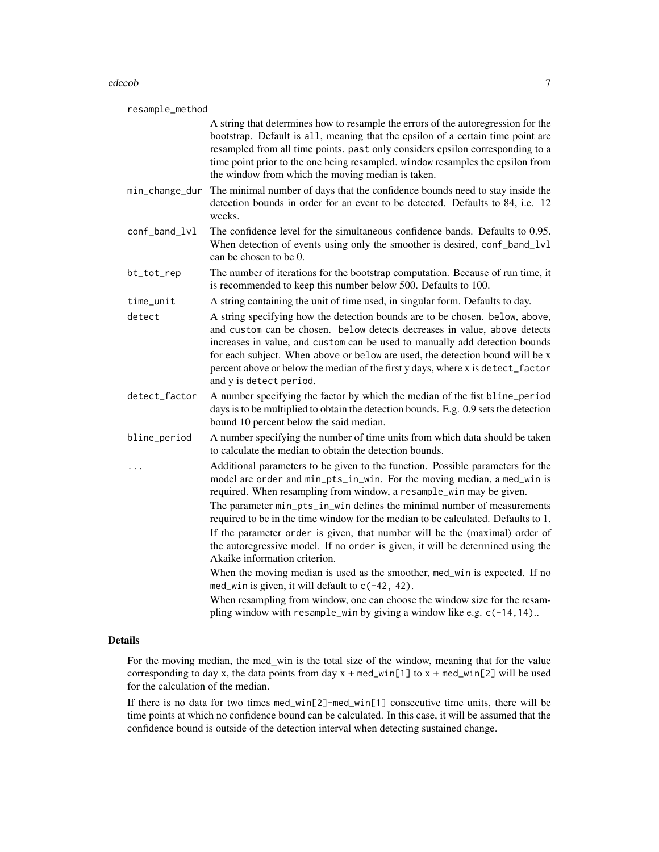#### edecob 7 and 2008 and 2008 and 2008 and 2008 and 2008 and 2008 and 2008 and 2008 and 2008 and 2008 and 2008 and 2008 and 2008 and 2008 and 2008 and 2008 and 2008 and 2008 and 2008 and 2008 and 2008 and 2008 and 2008 and 20

| resample_method |                                                                                                                                                                                                                                                                                                                                                                                                                                                                                                                                                                                                                                                                                                                                                                                                                                                                                               |  |
|-----------------|-----------------------------------------------------------------------------------------------------------------------------------------------------------------------------------------------------------------------------------------------------------------------------------------------------------------------------------------------------------------------------------------------------------------------------------------------------------------------------------------------------------------------------------------------------------------------------------------------------------------------------------------------------------------------------------------------------------------------------------------------------------------------------------------------------------------------------------------------------------------------------------------------|--|
|                 | A string that determines how to resample the errors of the autoregression for the<br>bootstrap. Default is all, meaning that the epsilon of a certain time point are<br>resampled from all time points. past only considers epsilon corresponding to a<br>time point prior to the one being resampled. window resamples the epsilon from<br>the window from which the moving median is taken.                                                                                                                                                                                                                                                                                                                                                                                                                                                                                                 |  |
| min_change_dur  | The minimal number of days that the confidence bounds need to stay inside the<br>detection bounds in order for an event to be detected. Defaults to 84, i.e. 12<br>weeks.                                                                                                                                                                                                                                                                                                                                                                                                                                                                                                                                                                                                                                                                                                                     |  |
| conf_band_lvl   | The confidence level for the simultaneous confidence bands. Defaults to 0.95.<br>When detection of events using only the smoother is desired, conf_band_lvl<br>can be chosen to be 0.                                                                                                                                                                                                                                                                                                                                                                                                                                                                                                                                                                                                                                                                                                         |  |
| bt_tot_rep      | The number of iterations for the bootstrap computation. Because of run time, it<br>is recommended to keep this number below 500. Defaults to 100.                                                                                                                                                                                                                                                                                                                                                                                                                                                                                                                                                                                                                                                                                                                                             |  |
| time_unit       | A string containing the unit of time used, in singular form. Defaults to day.                                                                                                                                                                                                                                                                                                                                                                                                                                                                                                                                                                                                                                                                                                                                                                                                                 |  |
| detect          | A string specifying how the detection bounds are to be chosen. below, above,<br>and custom can be chosen. below detects decreases in value, above detects<br>increases in value, and custom can be used to manually add detection bounds<br>for each subject. When above or below are used, the detection bound will be x<br>percent above or below the median of the first y days, where x is detect_factor<br>and y is detect period.                                                                                                                                                                                                                                                                                                                                                                                                                                                       |  |
| detect_factor   | A number specifying the factor by which the median of the fist bline_period<br>days is to be multiplied to obtain the detection bounds. E.g. 0.9 sets the detection<br>bound 10 percent below the said median.                                                                                                                                                                                                                                                                                                                                                                                                                                                                                                                                                                                                                                                                                |  |
| bline_period    | A number specifying the number of time units from which data should be taken<br>to calculate the median to obtain the detection bounds.                                                                                                                                                                                                                                                                                                                                                                                                                                                                                                                                                                                                                                                                                                                                                       |  |
|                 | Additional parameters to be given to the function. Possible parameters for the<br>model are order and min_pts_in_win. For the moving median, a med_win is<br>required. When resampling from window, a resample_win may be given.<br>The parameter min_pts_in_win defines the minimal number of measurements<br>required to be in the time window for the median to be calculated. Defaults to 1.<br>If the parameter order is given, that number will be the (maximal) order of<br>the autoregressive model. If no order is given, it will be determined using the<br>Akaike information criterion.<br>When the moving median is used as the smoother, med_win is expected. If no<br>med_win is given, it will default to c(-42, 42).<br>When resampling from window, one can choose the window size for the resam-<br>pling window with resample_win by giving a window like e.g. c(-14, 14) |  |

#### Details

For the moving median, the med\_win is the total size of the window, meaning that for the value corresponding to day x, the data points from day  $x + \text{med\_win}[1]$  to  $x + \text{med\_win}[2]$  will be used for the calculation of the median.

If there is no data for two times med\_win[2]-med\_win[1] consecutive time units, there will be time points at which no confidence bound can be calculated. In this case, it will be assumed that the confidence bound is outside of the detection interval when detecting sustained change.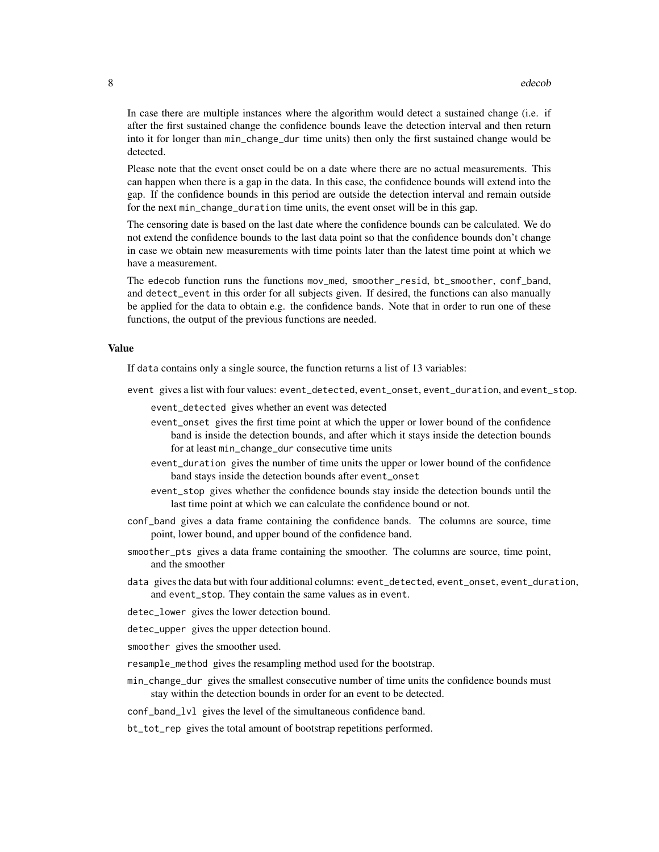In case there are multiple instances where the algorithm would detect a sustained change (i.e. if after the first sustained change the confidence bounds leave the detection interval and then return into it for longer than min\_change\_dur time units) then only the first sustained change would be detected.

Please note that the event onset could be on a date where there are no actual measurements. This can happen when there is a gap in the data. In this case, the confidence bounds will extend into the gap. If the confidence bounds in this period are outside the detection interval and remain outside for the next min\_change\_duration time units, the event onset will be in this gap.

The censoring date is based on the last date where the confidence bounds can be calculated. We do not extend the confidence bounds to the last data point so that the confidence bounds don't change in case we obtain new measurements with time points later than the latest time point at which we have a measurement.

The edecob function runs the functions mov\_med, smoother\_resid, bt\_smoother, conf\_band, and detect\_event in this order for all subjects given. If desired, the functions can also manually be applied for the data to obtain e.g. the confidence bands. Note that in order to run one of these functions, the output of the previous functions are needed.

#### Value

If data contains only a single source, the function returns a list of 13 variables:

- event gives a list with four values: event\_detected, event\_onset, event\_duration, and event\_stop.
	- event\_detected gives whether an event was detected
	- event\_onset gives the first time point at which the upper or lower bound of the confidence band is inside the detection bounds, and after which it stays inside the detection bounds for at least min\_change\_dur consecutive time units
	- event\_duration gives the number of time units the upper or lower bound of the confidence band stays inside the detection bounds after event\_onset
	- event\_stop gives whether the confidence bounds stay inside the detection bounds until the last time point at which we can calculate the confidence bound or not.
- conf\_band gives a data frame containing the confidence bands. The columns are source, time point, lower bound, and upper bound of the confidence band.
- smoother\_pts gives a data frame containing the smoother. The columns are source, time point, and the smoother
- data gives the data but with four additional columns: event\_detected, event\_onset, event\_duration, and event\_stop. They contain the same values as in event.
- detec\_lower gives the lower detection bound.
- detec\_upper gives the upper detection bound.
- smoother gives the smoother used.
- resample\_method gives the resampling method used for the bootstrap.
- min\_change\_dur gives the smallest consecutive number of time units the confidence bounds must stay within the detection bounds in order for an event to be detected.
- conf\_band\_lvl gives the level of the simultaneous confidence band.
- bt\_tot\_rep gives the total amount of bootstrap repetitions performed.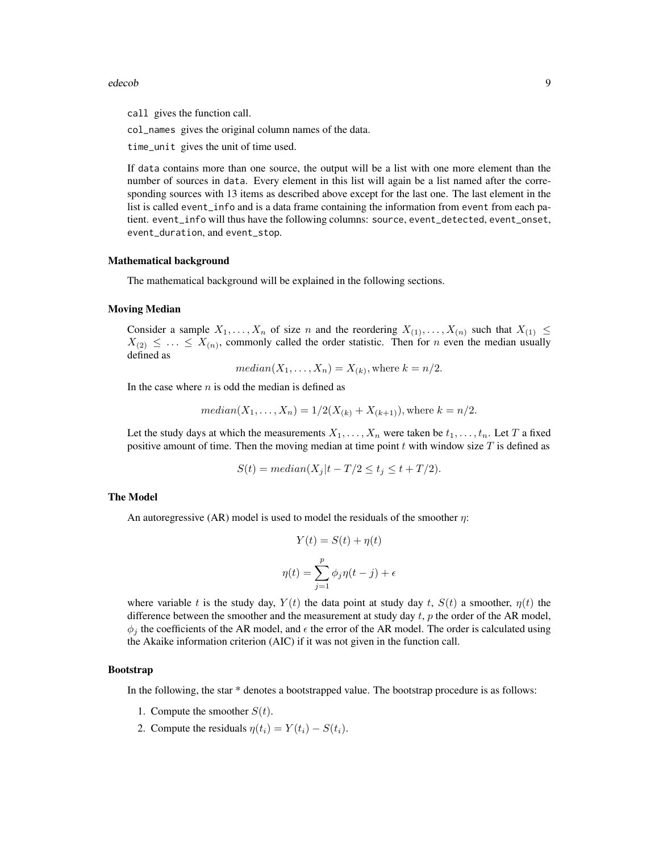#### edecob 99 and 200 million and 200 million and 200 million and 200 million and 200 million and 200 million and 200 million and 200 million and 200 million and 200 million and 200 million and 200 million and 200 million and

call gives the function call.

col\_names gives the original column names of the data.

time\_unit gives the unit of time used.

If data contains more than one source, the output will be a list with one more element than the number of sources in data. Every element in this list will again be a list named after the corresponding sources with 13 items as described above except for the last one. The last element in the list is called event\_info and is a data frame containing the information from event from each patient. event\_info will thus have the following columns: source, event\_detected, event\_onset, event\_duration, and event\_stop.

#### Mathematical background

The mathematical background will be explained in the following sections.

#### Moving Median

Consider a sample  $X_1, \ldots, X_n$  of size n and the reordering  $X_{(1)}, \ldots, X_{(n)}$  such that  $X_{(1)} \leq$  $X_{(2)} \leq \ldots \leq X_{(n)}$ , commonly called the order statistic. Then for *n* even the median usually defined as

$$
median(X_1, \ldots, X_n) = X_{(k)}, \text{where } k = n/2.
$$

In the case where  $n$  is odd the median is defined as

$$
median(X_1,...,X_n) = 1/2(X_{(k)} + X_{(k+1)}),
$$
 where  $k = n/2$ .

Let the study days at which the measurements  $X_1, \ldots, X_n$  were taken be  $t_1, \ldots, t_n$ . Let T a fixed positive amount of time. Then the moving median at time point t with window size  $T$  is defined as

$$
S(t) = median(X_j|t - T/2 \le t_j \le t + T/2).
$$

#### The Model

An autoregressive (AR) model is used to model the residuals of the smoother  $\eta$ :

$$
Y(t) = S(t) + \eta(t)
$$

$$
\eta(t) = \sum_{j=1}^{p} \phi_j \eta(t - j) + \epsilon
$$

where variable t is the study day,  $Y(t)$  the data point at study day t,  $S(t)$  a smoother,  $\eta(t)$  the difference between the smoother and the measurement at study day  $t$ ,  $p$  the order of the AR model,  $\phi_i$  the coefficients of the AR model, and  $\epsilon$  the error of the AR model. The order is calculated using the Akaike information criterion (AIC) if it was not given in the function call.

#### Bootstrap

In the following, the star \* denotes a bootstrapped value. The bootstrap procedure is as follows:

- 1. Compute the smoother  $S(t)$ .
- 2. Compute the residuals  $\eta(t_i) = Y(t_i) S(t_i)$ .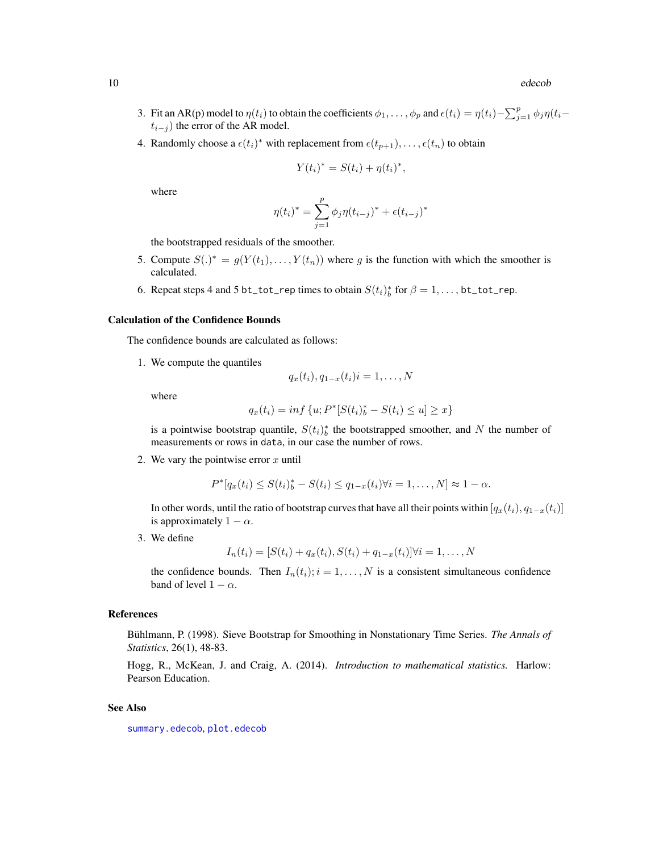- <span id="page-9-0"></span>3. Fit an AR(p) model to  $\eta(t_i)$  to obtain the coefficients  $\phi_1, \ldots, \phi_p$  and  $\epsilon(t_i) = \eta(t_i) - \sum_{j=1}^p \phi_j \eta(t_i - t_j)$  $t_{i-j}$ ) the error of the AR model.
- 4. Randomly choose a  $\epsilon(t_i)^*$  with replacement from  $\epsilon(t_{p+1}), \ldots, \epsilon(t_n)$  to obtain

$$
Y(t_i)^* = S(t_i) + \eta(t_i)^*,
$$

where

$$
\eta(t_i)^* = \sum_{j=1}^p \phi_j \eta(t_{i-j})^* + \epsilon(t_{i-j})^*
$$

the bootstrapped residuals of the smoother.

- 5. Compute  $S(\cdot)^* = g(Y(t_1), \ldots, Y(t_n))$  where g is the function with which the smoother is calculated.
- 6. Repeat steps 4 and 5 bt\_tot\_rep times to obtain  $S(t_i)_b^*$  for  $\beta = 1, \ldots,$  bt\_tot\_rep.

#### Calculation of the Confidence Bounds

The confidence bounds are calculated as follows:

1. We compute the quantiles

$$
q_x(t_i), q_{1-x}(t_i) = 1, \ldots, N
$$

where

$$
q_x(t_i) = \inf \{ u; P^*[S(t_i)]_b^* - S(t_i) \le u \} \ge x \}
$$

is a pointwise bootstrap quantile,  $S(t_i)$ <sup>\*</sup> the bootstrapped smoother, and N the number of measurements or rows in data, in our case the number of rows.

2. We vary the pointwise error  $x$  until

$$
P^*[q_x(t_i) \leq S(t_i)_b^* - S(t_i) \leq q_{1-x}(t_i) \forall i = 1, ..., N] \approx 1 - \alpha.
$$

In other words, until the ratio of bootstrap curves that have all their points within  $[q_x(t_i), q_{1-x}(t_i)]$ is approximately  $1 - \alpha$ .

3. We define

$$
I_n(t_i) = [S(t_i) + q_x(t_i), S(t_i) + q_{1-x}(t_i)] \forall i = 1, ..., N
$$

the confidence bounds. Then  $I_n(t_i); i = 1, \ldots, N$  is a consistent simultaneous confidence band of level  $1 - \alpha$ .

#### References

Bühlmann, P. (1998). Sieve Bootstrap for Smoothing in Nonstationary Time Series. *The Annals of Statistics*, 26(1), 48-83.

Hogg, R., McKean, J. and Craig, A. (2014). *Introduction to mathematical statistics.* Harlow: Pearson Education.

#### See Also

[summary.edecob](#page-14-1), [plot.edecob](#page-12-1)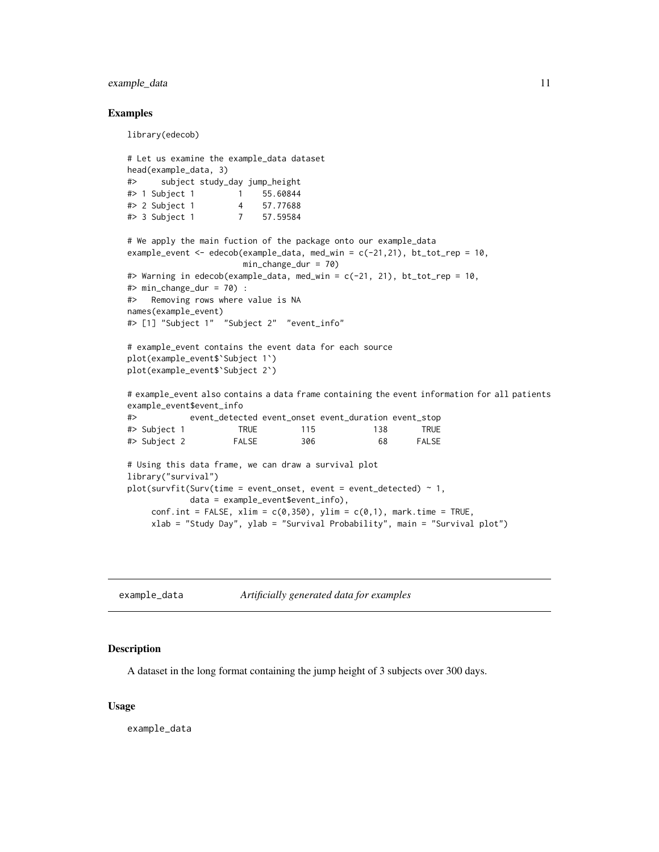#### <span id="page-10-0"></span>example\_data 11

#### Examples

```
library(edecob)
# Let us examine the example_data dataset
head(example_data, 3)
#> subject study_day jump_height
#> 1 Subject 1 1 55.60844
#> 2 Subject 1 4 57.77688
#> 3 Subject 1 7 57.59584
# We apply the main fuction of the package onto our example_data
example_event <- edecob(example_data, med_win = c(-21,21), bt_tot_rep = 10,
                      min_change_dur = 70)
#> Warning in edecob(example_data, med_win = c(-21, 21), bt_tot_rep = 10,
#> min_change_dur = 70) :
#> Removing rows where value is NA
names(example_event)
#> [1] "Subject 1" "Subject 2" "event_info"
# example_event contains the event data for each source
plot(example_event$`Subject 1`)
plot(example_event$`Subject 2`)
# example_event also contains a data frame containing the event information for all patients
example_event$event_info
#> event_detected event_onset event_duration event_stop
#> Subject 1 TRUE 115 138 TRUE
#> Subject 2 FALSE 306 68 FALSE
# Using this data frame, we can draw a survival plot
library("survival")
plot(survfit(Surv(time = event_onset, event = event_detected) \sim 1,
            data = example_event$event_info),
    conf.int = FALSE, xlim = c(\emptyset, 35\emptyset), ylim = c(\emptyset, 1), mark.time = TRUE,
    xlab = "Study Day", ylab = "Survival Probability", main = "Survival plot")
```
example\_data *Artificially generated data for examples*

#### Description

A dataset in the long format containing the jump height of 3 subjects over 300 days.

#### Usage

example\_data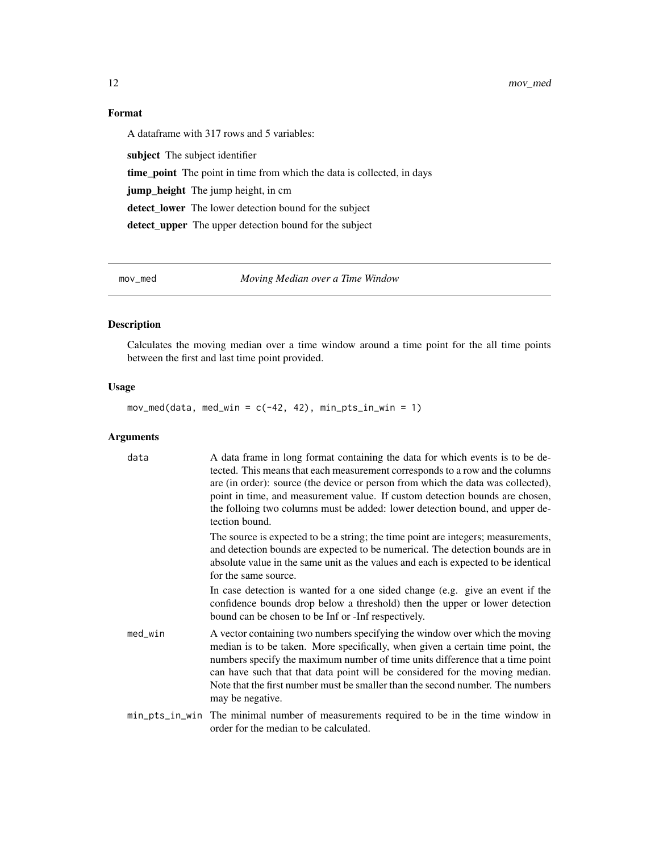12 mov\_med and the state of the state of the state of the state of the state of the state of the state of the state of the state of the state of the state of the state of the state of the state of the state of the state of

#### Format

A dataframe with 317 rows and 5 variables:

subject The subject identifier time\_point The point in time from which the data is collected, in days jump\_height The jump height, in cm detect\_lower The lower detection bound for the subject detect\_upper The upper detection bound for the subject

mov\_med *Moving Median over a Time Window*

#### Description

Calculates the moving median over a time window around a time point for the all time points between the first and last time point provided.

#### Usage

 $mov\_med(data, med\_win = c(-42, 42), min\_pts\_in\_win = 1)$ 

| data       | A data frame in long format containing the data for which events is to be de-<br>tected. This means that each measurement corresponds to a row and the columns<br>are (in order): source (the device or person from which the data was collected),<br>point in time, and measurement value. If custom detection bounds are chosen,<br>the folloing two columns must be added: lower detection bound, and upper de-<br>tection bound. |
|------------|--------------------------------------------------------------------------------------------------------------------------------------------------------------------------------------------------------------------------------------------------------------------------------------------------------------------------------------------------------------------------------------------------------------------------------------|
|            | The source is expected to be a string; the time point are integers; measurements,<br>and detection bounds are expected to be numerical. The detection bounds are in<br>absolute value in the same unit as the values and each is expected to be identical<br>for the same source.                                                                                                                                                    |
|            | In case detection is wanted for a one sided change (e.g. give an event if the<br>confidence bounds drop below a threshold) then the upper or lower detection<br>bound can be chosen to be Inf or -Inf respectively.                                                                                                                                                                                                                  |
| $med_w$ in | A vector containing two numbers specifying the window over which the moving<br>median is to be taken. More specifically, when given a certain time point, the<br>numbers specify the maximum number of time units difference that a time point<br>can have such that that data point will be considered for the moving median.<br>Note that the first number must be smaller than the second number. The numbers<br>may be negative. |
|            | min_pts_in_win The minimal number of measurements required to be in the time window in<br>order for the median to be calculated.                                                                                                                                                                                                                                                                                                     |

<span id="page-11-0"></span>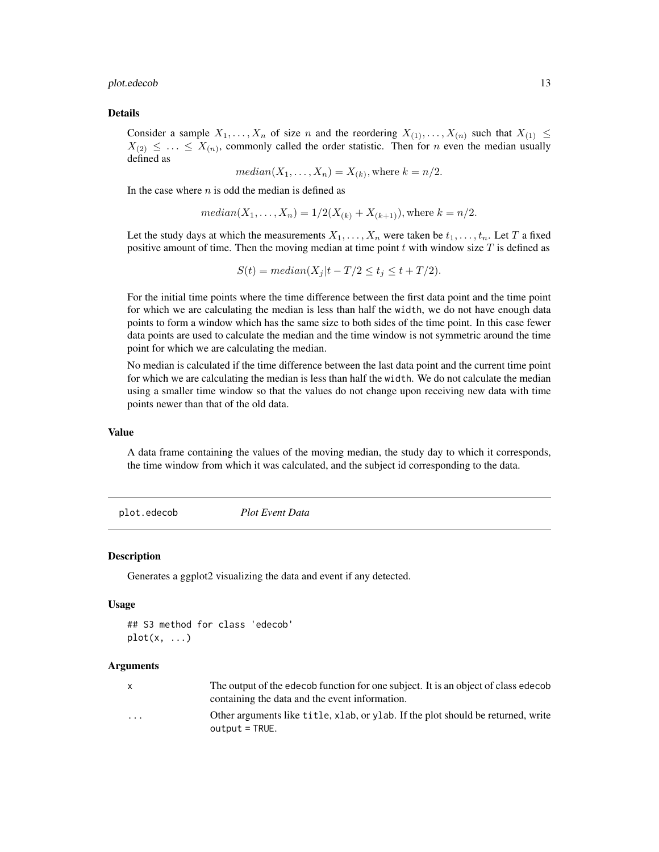#### <span id="page-12-0"></span>plot.edecob 13

#### Details

Consider a sample  $X_1, \ldots, X_n$  of size n and the reordering  $X_{(1)}, \ldots, X_{(n)}$  such that  $X_{(1)} \leq$  $X_{(2)} \leq \ldots \leq X_{(n)}$ , commonly called the order statistic. Then for *n* even the median usually defined as

$$
median(X_1, \ldots, X_n) = X_{(k)}, \text{where } k = n/2.
$$

In the case where  $n$  is odd the median is defined as

$$
median(X_1,...,X_n) = 1/2(X_{(k)} + X_{(k+1)}),
$$
 where  $k = n/2$ .

Let the study days at which the measurements  $X_1, \ldots, X_n$  were taken be  $t_1, \ldots, t_n$ . Let T a fixed positive amount of time. Then the moving median at time point  $t$  with window size  $T$  is defined as

$$
S(t) = median(X_j|t - T/2 \le t_j \le t + T/2).
$$

For the initial time points where the time difference between the first data point and the time point for which we are calculating the median is less than half the width, we do not have enough data points to form a window which has the same size to both sides of the time point. In this case fewer data points are used to calculate the median and the time window is not symmetric around the time point for which we are calculating the median.

No median is calculated if the time difference between the last data point and the current time point for which we are calculating the median is less than half the width. We do not calculate the median using a smaller time window so that the values do not change upon receiving new data with time points newer than that of the old data.

#### Value

A data frame containing the values of the moving median, the study day to which it corresponds, the time window from which it was calculated, and the subject id corresponding to the data.

<span id="page-12-1"></span>plot.edecob *Plot Event Data*

#### Description

Generates a ggplot2 visualizing the data and event if any detected.

#### Usage

```
## S3 method for class 'edecob'
plot(x, \ldots)
```

| X | The output of the edecob function for one subject. It is an object of class edecob |
|---|------------------------------------------------------------------------------------|
|   | containing the data and the event information.                                     |
| . | Other arguments like title, xlab, or ylab. If the plot should be returned, write   |
|   | $output = TRUE.$                                                                   |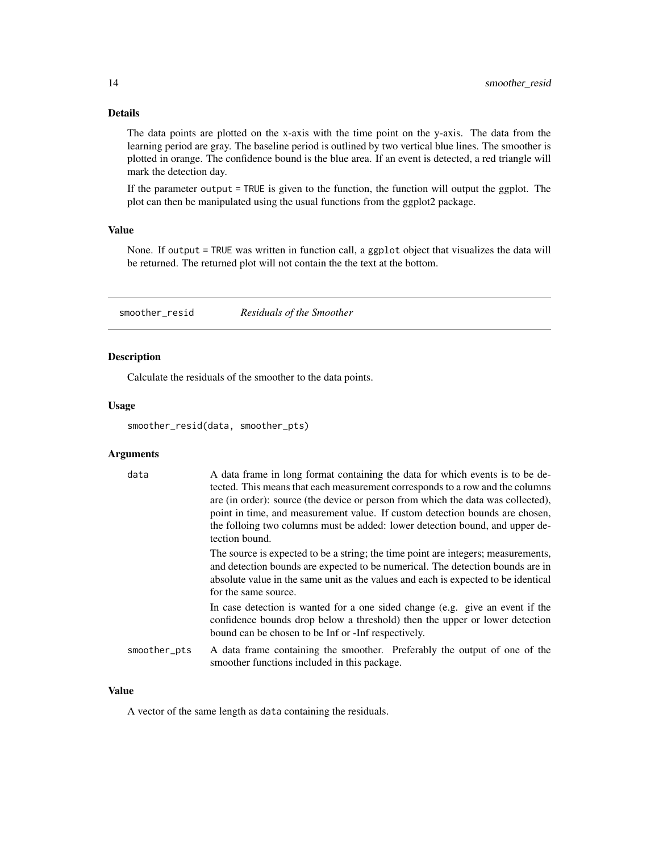#### <span id="page-13-0"></span>Details

The data points are plotted on the x-axis with the time point on the y-axis. The data from the learning period are gray. The baseline period is outlined by two vertical blue lines. The smoother is plotted in orange. The confidence bound is the blue area. If an event is detected, a red triangle will mark the detection day.

If the parameter output = TRUE is given to the function, the function will output the ggplot. The plot can then be manipulated using the usual functions from the ggplot2 package.

#### Value

None. If output = TRUE was written in function call, a ggplot object that visualizes the data will be returned. The returned plot will not contain the the text at the bottom.

<span id="page-13-1"></span>smoother\_resid *Residuals of the Smoother*

#### Description

Calculate the residuals of the smoother to the data points.

#### Usage

smoother\_resid(data, smoother\_pts)

#### **Arguments**

| data         | A data frame in long format containing the data for which events is to be de-<br>tected. This means that each measurement corresponds to a row and the columns<br>are (in order): source (the device or person from which the data was collected),<br>point in time, and measurement value. If custom detection bounds are chosen,<br>the folloing two columns must be added: lower detection bound, and upper de-<br>tection bound. |
|--------------|--------------------------------------------------------------------------------------------------------------------------------------------------------------------------------------------------------------------------------------------------------------------------------------------------------------------------------------------------------------------------------------------------------------------------------------|
|              | The source is expected to be a string; the time point are integers; measurements,<br>and detection bounds are expected to be numerical. The detection bounds are in<br>absolute value in the same unit as the values and each is expected to be identical<br>for the same source.                                                                                                                                                    |
|              | In case detection is wanted for a one sided change (e.g. give an event if the<br>confidence bounds drop below a threshold) then the upper or lower detection<br>bound can be chosen to be Inf or -Inf respectively.                                                                                                                                                                                                                  |
| smoother_pts | A data frame containing the smoother. Preferably the output of one of the<br>smoother functions included in this package.                                                                                                                                                                                                                                                                                                            |

#### Value

A vector of the same length as data containing the residuals.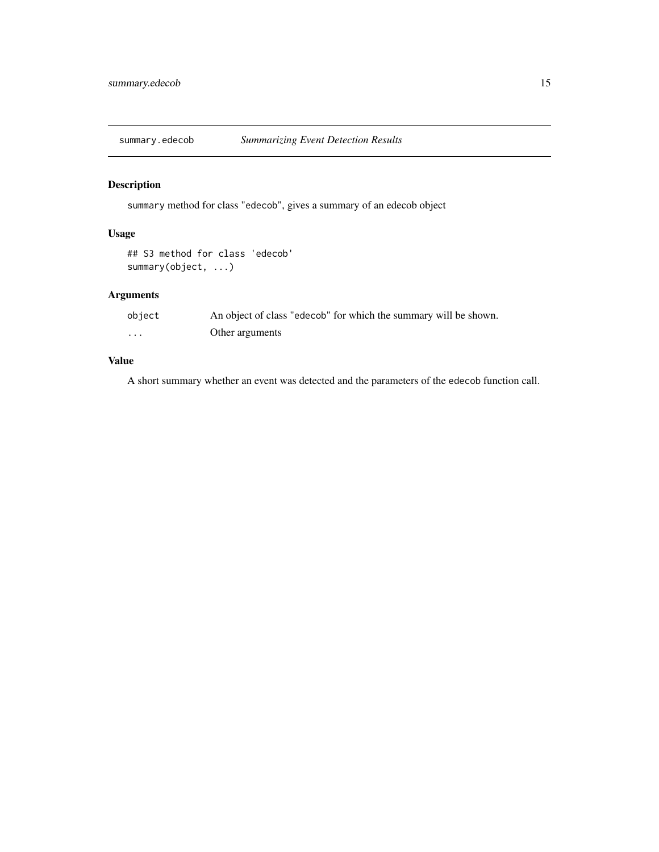<span id="page-14-1"></span><span id="page-14-0"></span>

#### Description

summary method for class "edecob", gives a summary of an edecob object

#### Usage

```
## S3 method for class 'edecob'
summary(object, ...)
```
#### Arguments

| object | An object of class "edecob" for which the summary will be shown. |
|--------|------------------------------------------------------------------|
| .      | Other arguments                                                  |

#### Value

A short summary whether an event was detected and the parameters of the edecob function call.